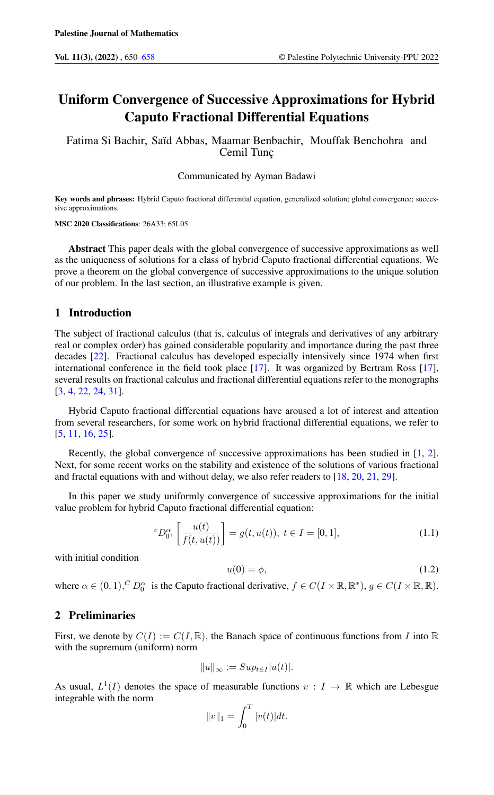# Uniform Convergence of Successive Approximations for Hybrid Caputo Fractional Differential Equations

Fatima Si Bachir, Saïd Abbas, Maamar Benbachir, Mouffak Benchohra and Cemil Tunç

## Communicated by Ayman Badawi

Key words and phrases: Hybrid Caputo fractional differential equation, generalized solution; global convergence; successive approximations.

MSC 2020 Classifications: 26A33; 65L05.

Abstract This paper deals with the global convergence of successive approximations as well as the uniqueness of solutions for a class of hybrid Caputo fractional differential equations. We prove a theorem on the global convergence of successive approximations to the unique solution of our problem. In the last section, an illustrative example is given.

# 1 Introduction

The subject of fractional calculus (that is, calculus of integrals and derivatives of any arbitrary real or complex order) has gained considerable popularity and importance during the past three decades [\[22\]](#page-7-0). Fractional calculus has developed especially intensively since 1974 when first international conference in the field took place [\[17\]](#page-7-1). It was organized by Bertram Ross [\[17\]](#page-7-1), several results on fractional calculus and fractional differential equations refer to the monographs [\[3,](#page-6-1) [4,](#page-6-2) [22,](#page-7-0) [24,](#page-7-2) [31\]](#page-7-3).

Hybrid Caputo fractional differential equations have aroused a lot of interest and attention from several researchers, for some work on hybrid fractional differential equations, we refer to [\[5,](#page-7-4) [11,](#page-7-5) [16,](#page-7-6) [25\]](#page-7-7).

Recently, the global convergence of successive approximations has been studied in [\[1,](#page-6-3) [2\]](#page-6-4). Next, for some recent works on the stability and existence of the solutions of various fractional and fractal equations with and without delay, we also refer readers to [\[18,](#page-7-8) [20,](#page-7-9) [21,](#page-7-10) [29\]](#page-7-11).

In this paper we study uniformly convergence of successive approximations for the initial value problem for hybrid Caputo fractional differential equation:

<span id="page-0-1"></span>
$$
{}^{c}D_{0^{+}}^{\alpha}\left[\frac{u(t)}{f(t,u(t))}\right] = g(t,u(t)), \ t \in I = [0,1], \tag{1.1}
$$

with initial condition

<span id="page-0-0"></span>
$$
u(0) = \phi,\tag{1.2}
$$

where  $\alpha \in (0, 1), ^C D_{0^+}^{\alpha}$  is the Caputo fractional derivative,  $f \in C(I \times \mathbb{R}, \mathbb{R}^*)$ ,  $g \in C(I \times \mathbb{R}, \mathbb{R})$ .

# 2 Preliminaries

First, we denote by  $C(I) := C(I, \mathbb{R})$ , the Banach space of continuous functions from I into  $\mathbb{R}$ with the supremum (uniform) norm

$$
||u||_{\infty} := Sup_{t \in I} |u(t)|.
$$

As usual,  $L^1(I)$  denotes the space of measurable functions  $v : I \to \mathbb{R}$  which are Lebesgue integrable with the norm

$$
||v||_1 = \int_0^T |v(t)| dt.
$$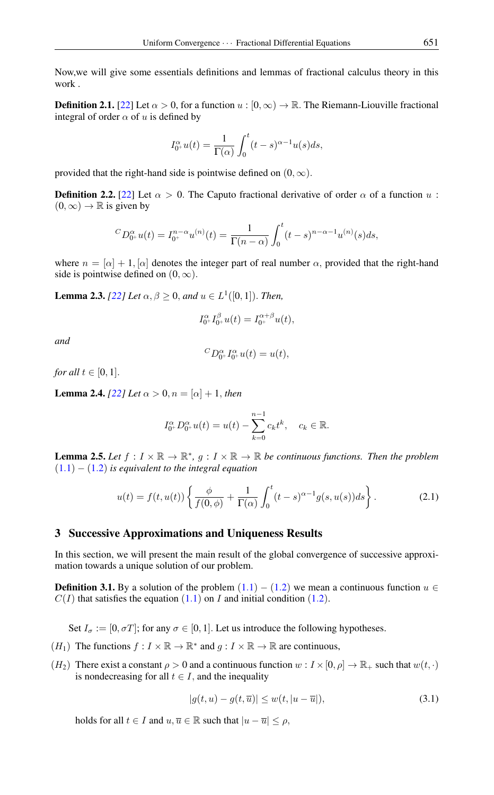Now,we will give some essentials definitions and lemmas of fractional calculus theory in this work .

**Definition 2.1.** [\[22\]](#page-7-0) Let  $\alpha > 0$ , for a function  $u : [0, \infty) \to \mathbb{R}$ . The Riemann-Liouville fractional integral of order  $\alpha$  of u is defined by

$$
I_{0^+}^{\alpha}u(t) = \frac{1}{\Gamma(\alpha)} \int_0^t (t-s)^{\alpha-1} u(s) ds,
$$

provided that the right-hand side is pointwise defined on  $(0, \infty)$ .

**Definition 2.2.** [\[22\]](#page-7-0) Let  $\alpha > 0$ . The Caputo fractional derivative of order  $\alpha$  of a function u:  $(0, \infty) \rightarrow \mathbb{R}$  is given by

$$
{}^{C}D_{0^{+}}^{\alpha}u(t) = I_{0^{+}}^{n-\alpha}u^{(n)}(t) = \frac{1}{\Gamma(n-\alpha)}\int_{0}^{t}(t-s)^{n-\alpha-1}u^{(n)}(s)ds,
$$

where  $n = [\alpha] + 1$ ,  $[\alpha]$  denotes the integer part of real number  $\alpha$ , provided that the right-hand side is pointwise defined on  $(0, \infty)$ .

**Lemma 2.3.** *[\[22\]](#page-7-0) Let*  $\alpha, \beta \ge 0$ , *and*  $u \in L^1([0, 1])$ *. Then,* 

$$
I_{0^+}^{\alpha}I_{0^+}^{\beta}u(t) = I_{0^+}^{\alpha+\beta}u(t),
$$

*and*

$$
{}^{C}D_{0^+}^{\alpha}I_{0^+}^{\alpha}u(t) = u(t),
$$

*for all*  $t \in [0, 1]$ *.* 

**Lemma 2.4.** *[\[22\]](#page-7-0) Let*  $\alpha > 0, n = [\alpha] + 1$ , *then* 

<span id="page-1-1"></span>
$$
I_{0^+}^{\alpha}D_{0^+}^{\alpha}u(t) = u(t) - \sum_{k=0}^{n-1} c_k t^k, \quad c_k \in \mathbb{R}.
$$

**Lemma 2.5.** Let  $f: I \times \mathbb{R} \to \mathbb{R}^*$ ,  $g: I \times \mathbb{R} \to \mathbb{R}$  be continuous functions. Then the problem ([1](#page-0-0).1) − ([1](#page-0-1).2) *is equivalent to the integral equation*

$$
u(t) = f(t, u(t)) \left\{ \frac{\phi}{f(0, \phi)} + \frac{1}{\Gamma(\alpha)} \int_0^t (t - s)^{\alpha - 1} g(s, u(s)) ds \right\}.
$$
 (2.1)

## 3 Successive Approximations and Uniqueness Results

In this section, we will present the main result of the global convergence of successive approximation towards a unique solution of our problem.

**Definition 3.[1](#page-0-1).** By a solution of the problem  $(1.1) - (1.2)$  we mean a continuous function  $u \in$  $C(I)$  that satisfies the equation  $(1.1)$  $(1.1)$  $(1.1)$  on I and initial condition  $(1.2)$ .

Set  $I_{\sigma} := [0, \sigma T]$ ; for any  $\sigma \in [0, 1]$ . Let us introduce the following hypotheses.

- $(H_1)$  The functions  $f: I \times \mathbb{R} \to \mathbb{R}^*$  and  $g: I \times \mathbb{R} \to \mathbb{R}$  are continuous,
- $(H_2)$  There exist a constant  $\rho > 0$  and a continuous function  $w : I \times [0, \rho] \to \mathbb{R}_+$  such that  $w(t, \cdot)$ is nondecreasing for all  $t \in I$ , and the inequality

<span id="page-1-0"></span>
$$
|g(t, u) - g(t, \overline{u})| \le w(t, |u - \overline{u}|), \tag{3.1}
$$

holds for all  $t \in I$  and  $u, \overline{u} \in \mathbb{R}$  such that  $|u - \overline{u}| \leq \rho$ ,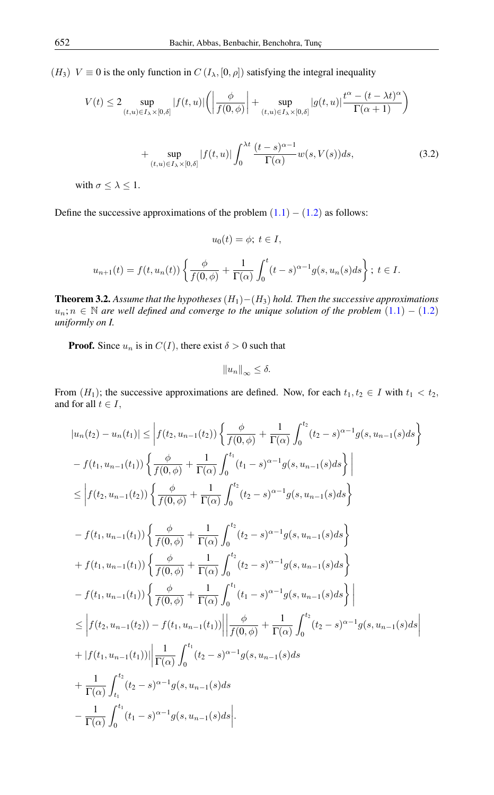(H<sub>3</sub>)  $V \equiv 0$  is the only function in  $C(I_{\lambda}, [0, \rho])$  satisfying the integral inequality

$$
V(t) \le 2 \sup_{(t,u)\in I_{\lambda}\times[0,\delta]}|f(t,u)| \left(\left|\frac{\phi}{f(0,\phi)}\right| + \sup_{(t,u)\in I_{\lambda}\times[0,\delta]}|g(t,u)|\frac{t^{\alpha} - (t-\lambda t)^{\alpha}}{\Gamma(\alpha+1)}\right)
$$
  
+ 
$$
\sup_{(t,u)\in I_{\lambda}\times[0,\delta]}|f(t,u)| \int_{0}^{\lambda t} \frac{(t-s)^{\alpha-1}}{\Gamma(\alpha)}w(s,V(s))ds,
$$
(3.2)

with  $\sigma \leq \lambda \leq 1$ .

Define the successive approximations of the problem  $(1.1) - (1.2)$  $(1.1) - (1.2)$  $(1.1) - (1.2)$  as follows:

$$
u_0(t) = \phi; \ t \in I,
$$

$$
u_{n+1}(t) = f(t, u_n(t)) \left\{ \frac{\phi}{f(0, \phi)} + \frac{1}{\Gamma(\alpha)} \int_0^t (t - s)^{\alpha - 1} g(s, u_n(s)) ds \right\}; \ t \in I.
$$

<span id="page-2-0"></span>Theorem 3.2. *Assume that the hypotheses* (H1)−(H3) *hold. Then the successive approximations*  $u_n; n \in \mathbb{N}$  are well defined and converge to the unique solution of the problem  $(1.1) - (1.2)$  $(1.1) - (1.2)$  $(1.1) - (1.2)$ *uniformly on I.*

**Proof.** Since  $u_n$  is in  $C(I)$ , there exist  $\delta > 0$  such that

$$
||u_n||_{\infty} \leq \delta.
$$

From  $(H_1)$ ; the successive approximations are defined. Now, for each  $t_1, t_2 \in I$  with  $t_1 < t_2$ , and for all  $t \in I$ ,

$$
|u_{n}(t_{2}) - u_{n}(t_{1})| \leq \left| f(t_{2}, u_{n-1}(t_{2})) \left\{ \frac{\phi}{f(0,\phi)} + \frac{1}{\Gamma(\alpha)} \int_{0}^{t_{2}} (t_{2} - s)^{\alpha-1} g(s, u_{n-1}(s) ds \right\} \right|
$$
  
\n
$$
- f(t_{1}, u_{n-1}(t_{1})) \left\{ \frac{\phi}{f(0,\phi)} + \frac{1}{\Gamma(\alpha)} \int_{0}^{t_{1}} (t_{1} - s)^{\alpha-1} g(s, u_{n-1}(s) ds \right\} \right|
$$
  
\n
$$
\leq \left| f(t_{2}, u_{n-1}(t_{2})) \left\{ \frac{\phi}{f(0,\phi)} + \frac{1}{\Gamma(\alpha)} \int_{0}^{t_{2}} (t_{2} - s)^{\alpha-1} g(s, u_{n-1}(s) ds \right\} \right|
$$
  
\n
$$
- f(t_{1}, u_{n-1}(t_{1})) \left\{ \frac{\phi}{f(0,\phi)} + \frac{1}{\Gamma(\alpha)} \int_{0}^{t_{2}} (t_{2} - s)^{\alpha-1} g(s, u_{n-1}(s) ds \right\}
$$
  
\n
$$
+ f(t_{1}, u_{n-1}(t_{1})) \left\{ \frac{\phi}{f(0,\phi)} + \frac{1}{\Gamma(\alpha)} \int_{0}^{t_{2}} (t_{2} - s)^{\alpha-1} g(s, u_{n-1}(s) ds \right\}
$$
  
\n
$$
- f(t_{1}, u_{n-1}(t_{1})) \left\{ \frac{\phi}{f(0,\phi)} + \frac{1}{\Gamma(\alpha)} \int_{0}^{t_{1}} (t_{1} - s)^{\alpha-1} g(s, u_{n-1}(s) ds \right\} \right|
$$
  
\n
$$
\leq \left| f(t_{2}, u_{n-1}(t_{2})) - f(t_{1}, u_{n-1}(t_{1})) \right| \left| \frac{\phi}{f(0,\phi)} + \frac{1}{\Gamma(\alpha)} \int_{0}^{t_{2}} (t_{2} - s)^{\alpha-1} g(s, u_{n-1}(s) ds \right|
$$
  
\n
$$
+ |f(t_{1}, u_{n-1}(t_{1}))| \left| \frac{1}{\Gamma(\alpha)} \int_{0}^{t_{1}} (t_{2} - s)^
$$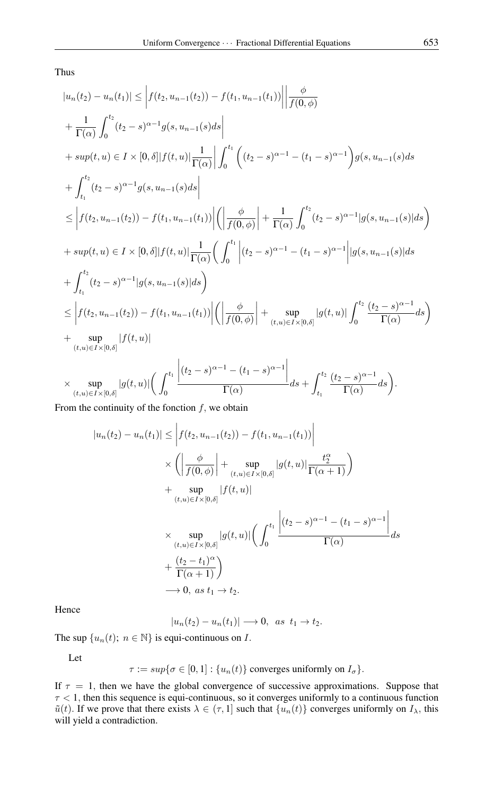Thus

$$
|u_{n}(t_{2}) - u_{n}(t_{1})| \leq \left| f(t_{2}, u_{n-1}(t_{2})) - f(t_{1}, u_{n-1}(t_{1})) \right| \frac{\phi}{f(0, \phi)}
$$
  
+ 
$$
\frac{1}{\Gamma(\alpha)} \int_{0}^{t_{2}} (t_{2} - s)^{\alpha - 1} g(s, u_{n-1}(s) ds)
$$
  
+ 
$$
sup(t, u) \in I \times [0, \delta] |f(t, u)| \frac{1}{\Gamma(\alpha)} \left| \int_{0}^{t_{1}} \left( (t_{2} - s)^{\alpha - 1} - (t_{1} - s)^{\alpha - 1} \right) g(s, u_{n-1}(s) ds \right|
$$
  
+ 
$$
\int_{t_{1}}^{t_{2}} (t_{2} - s)^{\alpha - 1} g(s, u_{n-1}(s) ds)
$$
  

$$
\leq \left| f(t_{2}, u_{n-1}(t_{2})) - f(t_{1}, u_{n-1}(t_{1})) \right| \left( \left| \frac{\phi}{f(0, \phi)} \right| + \frac{1}{\Gamma(\alpha)} \int_{0}^{t_{2}} (t_{2} - s)^{\alpha - 1} |g(s, u_{n-1}(s)| ds \right)
$$
  
+ 
$$
sup(t, u) \in I \times [0, \delta] |f(t, u)| \frac{1}{\Gamma(\alpha)} \left( \int_{0}^{t_{1}} \left| (t_{2} - s)^{\alpha - 1} - (t_{1} - s)^{\alpha - 1} \right| |g(s, u_{n-1}(s)| ds \right)
$$
  
+ 
$$
\int_{t_{1}}^{t_{2}} (t_{2} - s)^{\alpha - 1} |g(s, u_{n-1}(s)| ds)
$$
  

$$
\leq \left| f(t_{2}, u_{n-1}(t_{2})) - f(t_{1}, u_{n-1}(t_{1})) \right| \left( \left| \frac{\phi}{f(0, \phi)} \right| + \sup_{(t, u) \in I \times [0, \delta]} |g(t, u)| \int_{0}^{t_{2}} \frac{(t_{2} - s)^{\alpha - 1}}{\Gamma(\alpha)} ds \right)
$$
  
+ 
$$
sup_{(t, u) \in I \times [0, \delta]} |f(t, u)|
$$
  

$$
\times \sup_{(t, u) \in I \times [0, \delta]} |g(t, u)| \left(
$$

From the continuity of the fonction  $f$ , we obtain

$$
|u_n(t_2) - u_n(t_1)| \leq \left| f(t_2, u_{n-1}(t_2)) - f(t_1, u_{n-1}(t_1)) \right|
$$
  
\n
$$
\times \left( \left| \frac{\phi}{f(0, \phi)} \right| + \sup_{(t, u) \in I \times [0, \delta]} |g(t, u)| \frac{t_2^{\alpha}}{\Gamma(\alpha + 1)} \right)
$$
  
\n
$$
+ \sup_{(t, u) \in I \times [0, \delta]} |f(t, u)|
$$
  
\n
$$
\times \sup_{(t, u) \in I \times [0, \delta]} |g(t, u)| \left( \int_0^{t_1} \frac{|(t_2 - s)^{\alpha - 1} - (t_1 - s)^{\alpha - 1}|}{\Gamma(\alpha)} ds
$$
  
\n
$$
+ \frac{(t_2 - t_1)^{\alpha}}{\Gamma(\alpha + 1)} \right)
$$
  
\n
$$
\longrightarrow 0, \text{ as } t_1 \to t_2.
$$

Hence

$$
|u_n(t_2)-u_n(t_1)|\longrightarrow 0, \ \ as \ \ t_1\rightarrow t_2.
$$

The sup  $\{u_n(t); n \in \mathbb{N}\}\$ is equi-continuous on *I*.

Let

 $\tau := \sup \{ \sigma \in [0, 1] : \{ u_n(t) \}$  converges uniformly on  $I_{\sigma} \}.$ 

If  $\tau = 1$ , then we have the global convergence of successive approximations. Suppose that  $\tau$  < 1, then this sequence is equi-continuous, so it converges uniformly to a continuous function  $\tilde{u}(t)$ . If we prove that there exists  $\lambda \in (\tau, 1]$  such that  $\{u_n(t)\}$  converges uniformly on  $I_\lambda$ , this will yield a contradiction.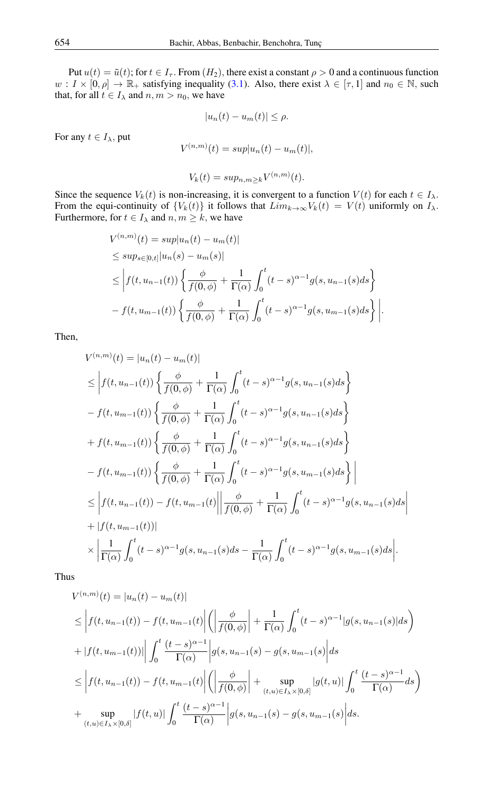Put  $u(t) = \tilde{u}(t)$ ; for  $t \in I_{\tau}$ . From  $(H_2)$ , there exist a constant  $\rho > 0$  and a continuous function  $w: I \times [0, \rho] \to \mathbb{R}_+$  satisfying inequality [\(3.1\)](#page-1-0). Also, there exist  $\lambda \in [\tau, 1]$  and  $n_0 \in \mathbb{N}$ , such that, for all  $t \in I_\lambda$  and  $n, m > n_0$ , we have

$$
|u_n(t) - u_m(t)| \le \rho.
$$

For any  $t \in I_\lambda$ , put

$$
V^{(n,m)}(t) = sup|u_n(t) - u_m(t)|,
$$

$$
V_k(t) = \sup_{n,m \geq k} V^{(n,m)}(t).
$$

Since the sequence  $V_k(t)$  is non-increasing, it is convergent to a function  $V(t)$  for each  $t \in I_\lambda$ . From the equi-continuity of  ${V_k(t)}$  it follows that  $Lim_{k\to\infty}V_k(t) = V(t)$  uniformly on  $I_\lambda$ . Furthermore, for  $t \in I_\lambda$  and  $n, m \geq k$ , we have

$$
V^{(n,m)}(t) = sup|u_n(t) - u_m(t)|
$$
  
\n
$$
\le sup_{s \in [0,t]} |u_n(s) - u_m(s)|
$$
  
\n
$$
\le \left| f(t, u_{n-1}(t)) \left\{ \frac{\phi}{f(0,\phi)} + \frac{1}{\Gamma(\alpha)} \int_0^t (t-s)^{\alpha-1} g(s, u_{n-1}(s)) ds \right\} \right|
$$
  
\n
$$
- f(t, u_{m-1}(t)) \left\{ \frac{\phi}{f(0,\phi)} + \frac{1}{\Gamma(\alpha)} \int_0^t (t-s)^{\alpha-1} g(s, u_{m-1}(s)) ds \right\} \right|.
$$

Then,

$$
V^{(n,m)}(t) = |u_n(t) - u_m(t)|
$$
  
\n
$$
\leq \left| f(t, u_{n-1}(t)) \left\{ \frac{\phi}{f(0, \phi)} + \frac{1}{\Gamma(\alpha)} \int_0^t (t-s)^{\alpha-1} g(s, u_{n-1}(s) ds \right\} \right\}
$$
  
\n
$$
- f(t, u_{m-1}(t)) \left\{ \frac{\phi}{f(0, \phi)} + \frac{1}{\Gamma(\alpha)} \int_0^t (t-s)^{\alpha-1} g(s, u_{n-1}(s) ds \right\}
$$
  
\n
$$
+ f(t, u_{m-1}(t)) \left\{ \frac{\phi}{f(0, \phi)} + \frac{1}{\Gamma(\alpha)} \int_0^t (t-s)^{\alpha-1} g(s, u_{n-1}(s) ds \right\}
$$
  
\n
$$
- f(t, u_{m-1}(t)) \left\{ \frac{\phi}{f(0, \phi)} + \frac{1}{\Gamma(\alpha)} \int_0^t (t-s)^{\alpha-1} g(s, u_{m-1}(s) ds \right\} \right|
$$
  
\n
$$
\leq \left| f(t, u_{n-1}(t)) - f(t, u_{m-1}(t)) \right| \left| \frac{\phi}{f(0, \phi)} + \frac{1}{\Gamma(\alpha)} \int_0^t (t-s)^{\alpha-1} g(s, u_{n-1}(s) ds \right|
$$
  
\n
$$
+ |f(t, u_{m-1}(t))|
$$
  
\n
$$
\times \left| \frac{1}{\Gamma(\alpha)} \int_0^t (t-s)^{\alpha-1} g(s, u_{n-1}(s) ds - \frac{1}{\Gamma(\alpha)} \int_0^t (t-s)^{\alpha-1} g(s, u_{m-1}(s) ds \right|).
$$

Thus

$$
V^{(n,m)}(t) = |u_n(t) - u_m(t)|
$$
  
\n
$$
\leq \left| f(t, u_{n-1}(t)) - f(t, u_{m-1}(t)) \right| \left( \left| \frac{\phi}{f(0, \phi)} \right| + \frac{1}{\Gamma(\alpha)} \int_0^t (t - s)^{\alpha - 1} |g(s, u_{n-1}(s)| ds) + |f(t, u_{m-1}(t))| \left| \int_0^t \frac{(t - s)^{\alpha - 1}}{\Gamma(\alpha)} |g(s, u_{n-1}(s) - g(s, u_{m-1}(s))| ds \right|
$$
  
\n
$$
\leq \left| f(t, u_{n-1}(t)) - f(t, u_{m-1}(t)) \right| \left( \left| \frac{\phi}{f(0, \phi)} \right| + \sup_{(t, u) \in I_\lambda \times [0, \delta]} |g(t, u)| \int_0^t \frac{(t - s)^{\alpha - 1}}{\Gamma(\alpha)} ds \right|
$$
  
\n+ 
$$
\sup_{(t, u) \in I_\lambda \times [0, \delta]} |f(t, u)| \int_0^t \frac{(t - s)^{\alpha - 1}}{\Gamma(\alpha)} |g(s, u_{n-1}(s) - g(s, u_{m-1}(s))| ds.
$$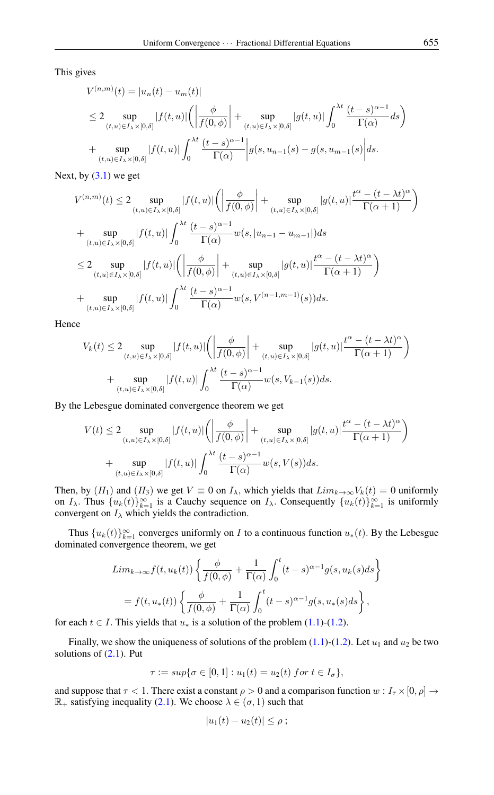This gives

$$
V^{(n,m)}(t) = |u_n(t) - u_m(t)|
$$
  
\n
$$
\leq 2 \sup_{(t,u) \in I_\lambda \times [0,\delta]} |f(t,u)| \left( \left| \frac{\phi}{f(0,\phi)} \right| + \sup_{(t,u) \in I_\lambda \times [0,\delta]} |g(t,u)| \int_0^{\lambda t} \frac{(t-s)^{\alpha-1}}{\Gamma(\alpha)} ds \right)
$$
  
\n
$$
+ \sup_{(t,u) \in I_\lambda \times [0,\delta]} |f(t,u)| \int_0^{\lambda t} \frac{(t-s)^{\alpha-1}}{\Gamma(\alpha)} |g(s, u_{n-1}(s) - g(s, u_{m-1}(s))| ds.
$$

Next, by  $(3.1)$  we get

$$
V^{(n,m)}(t) \leq 2 \sup_{(t,u)\in I_{\lambda}\times[0,\delta]}|f(t,u)|\left(\left|\frac{\phi}{f(0,\phi)}\right| + \sup_{(t,u)\in I_{\lambda}\times[0,\delta]}|g(t,u)|\frac{t^{\alpha} - (t-\lambda t)^{\alpha}}{\Gamma(\alpha+1)}\right)
$$
  
+ 
$$
\sup_{(t,u)\in I_{\lambda}\times[0,\delta]}|f(t,u)|\int_{0}^{\lambda t}\frac{(t-s)^{\alpha-1}}{\Gamma(\alpha)}w(s,|u_{n-1}-u_{m-1}|)ds
$$
  

$$
\leq 2 \sup_{(t,u)\in I_{\lambda}\times[0,\delta]}|f(t,u)|\left(\left|\frac{\phi}{f(0,\phi)}\right| + \sup_{(t,u)\in I_{\lambda}\times[0,\delta]}|g(t,u)|\frac{t^{\alpha} - (t-\lambda t)^{\alpha}}{\Gamma(\alpha+1)}\right)
$$
  
+ 
$$
\sup_{(t,u)\in I_{\lambda}\times[0,\delta]}|f(t,u)|\int_{0}^{\lambda t}\frac{(t-s)^{\alpha-1}}{\Gamma(\alpha)}w(s,V^{(n-1,m-1)}(s))ds.
$$

Hence

$$
V_k(t) \le 2 \sup_{(t,u)\in I_\lambda \times [0,\delta]} |f(t,u)| \left( \left| \frac{\phi}{f(0,\phi)} \right| + \sup_{(t,u)\in I_\lambda \times [0,\delta]} |g(t,u)| \frac{t^\alpha - (t-\lambda t)^\alpha}{\Gamma(\alpha+1)} \right)
$$
  
+ 
$$
\sup_{(t,u)\in I_\lambda \times [0,\delta]} |f(t,u)| \int_0^{\lambda t} \frac{(t-s)^{\alpha-1}}{\Gamma(\alpha)} w(s,V_{k-1}(s)) ds.
$$

By the Lebesgue dominated convergence theorem we get

$$
V(t) \le 2 \sup_{(t,u)\in I_\lambda \times [0,\delta]} |f(t,u)| \left( \left| \frac{\phi}{f(0,\phi)} \right| + \sup_{(t,u)\in I_\lambda \times [0,\delta]} |g(t,u)| \frac{t^\alpha - (t-\lambda t)^\alpha}{\Gamma(\alpha+1)} \right)
$$
  
+ 
$$
\sup_{(t,u)\in I_\lambda \times [0,\delta]} |f(t,u)| \int_0^{\lambda t} \frac{(t-s)^{\alpha-1}}{\Gamma(\alpha)} w(s,V(s)) ds.
$$

Then, by  $(H_1)$  and  $(H_3)$  we get  $V \equiv 0$  on  $I_\lambda$ , which yields that  $Lim_{k\to\infty}V_k(t) = 0$  uniformly on  $I_\lambda$ . Thus  $\{u_k(t)\}_{k=1}^\infty$  is a Cauchy sequence on  $I_\lambda$ . Consequently  $\{u_k(t)\}_{k=1}^\infty$  is uniformly convergent on  $I_{\lambda}$  which yields the contradiction.

Thus  $\{u_k(t)\}_{k=1}^{\infty}$  converges uniformly on *I* to a continuous function  $u_*(t)$ . By the Lebesgue dominated convergence theorem, we get

$$
Lim_{k\to\infty}f(t,u_k(t))\left\{\frac{\phi}{f(0,\phi)} + \frac{1}{\Gamma(\alpha)}\int_0^t (t-s)^{\alpha-1}g(s,u_k(s)ds\right\}
$$
  
=  $f(t,u_*(t))\left\{\frac{\phi}{f(0,\phi)} + \frac{1}{\Gamma(\alpha)}\int_0^t (t-s)^{\alpha-1}g(s,u_*(s)ds\right\},\right.$ 

for each  $t \in I$ . This yields that  $u_*$  is a solution of the problem [\(1.1\)](#page-0-0)-[\(1.2\)](#page-0-1).

Finally, we show the uniqueness of solutions of the problem [\(1.1\)](#page-0-0)-[\(1.2\)](#page-0-1). Let  $u_1$  and  $u_2$  be two solutions of  $(2.1)$ . Put

$$
\tau := sup\{\sigma \in [0,1] : u_1(t) = u_2(t) \text{ for } t \in I_\sigma\},\
$$

and suppose that  $\tau < 1$ . There exist a constant  $\rho > 0$  and a comparison function  $w : I_{\tau} \times [0, \rho] \rightarrow$  $\mathbb{R}_+$  satisfying inequality [\(2.1\)](#page-1-1). We choose  $\lambda \in (\sigma, 1)$  such that

$$
|u_1(t)-u_2(t)|\leq \rho ;
$$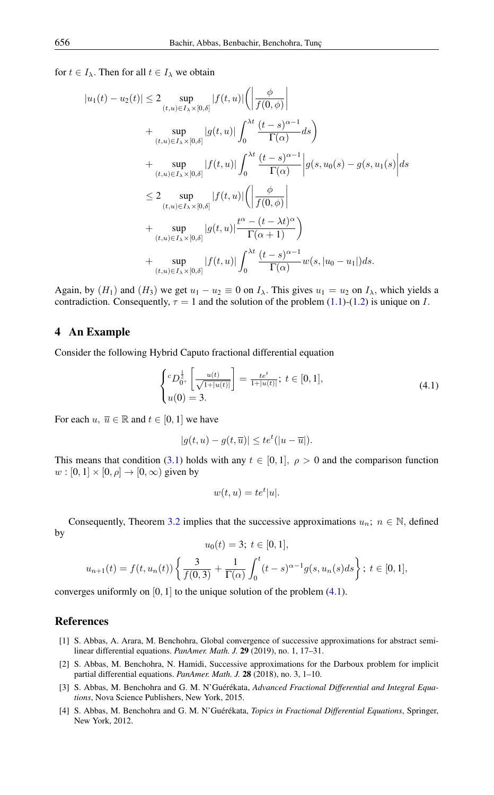for  $t \in I_\lambda$ . Then for all  $t \in I_\lambda$  we obtain

$$
|u_1(t) - u_2(t)| \le 2 \sup_{(t,u) \in I_\lambda \times [0,\delta]} |f(t,u)| \left( \left| \frac{\phi}{f(0,\phi)} \right| \right)
$$
  
+ 
$$
\sup_{(t,u) \in I_\lambda \times [0,\delta]} |g(t,u)| \int_0^{\lambda t} \frac{(t-s)^{\alpha-1}}{\Gamma(\alpha)} ds
$$
  
+ 
$$
\sup_{(t,u) \in I_\lambda \times [0,\delta]} |f(t,u)| \int_0^{\lambda t} \frac{(t-s)^{\alpha-1}}{\Gamma(\alpha)} \left| g(s, u_0(s) - g(s, u_1(s)) \right| ds
$$
  

$$
\le 2 \sup_{(t,u) \in I_\lambda \times [0,\delta]} |f(t,u)| \left( \left| \frac{\phi}{f(0,\phi)} \right| \right)
$$
  
+ 
$$
\sup_{(t,u) \in I_\lambda \times [0,\delta]} |g(t,u)| \frac{t^\alpha - (t-\lambda t)^\alpha}{\Gamma(\alpha+1)} \right)
$$
  
+ 
$$
\sup_{(t,u) \in I_\lambda \times [0,\delta]} |f(t,u)| \int_0^{\lambda t} \frac{(t-s)^{\alpha-1}}{\Gamma(\alpha)} w(s, |u_0 - u_1|) ds.
$$

Again, by  $(H_1)$  and  $(H_3)$  we get  $u_1 - u_2 \equiv 0$  on  $I_\lambda$ . This gives  $u_1 = u_2$  on  $I_\lambda$ , which yields a contradiction. Consequently,  $\tau = 1$  and the solution of the problem [\(1.1\)](#page-0-0)-[\(1.2\)](#page-0-1) is unique on I.

# 4 An Example

Consider the following Hybrid Caputo fractional differential equation

<span id="page-6-5"></span>
$$
\begin{cases} ^cD_{0^+}^{\frac{1}{2}}\left[\frac{u(t)}{\sqrt{1+|u(t)|}}\right] = \frac{te^t}{1+|u(t)|}; \ t \in [0,1],\\ u(0) = 3. \end{cases} \tag{4.1}
$$

For each  $u, \overline{u} \in \mathbb{R}$  and  $t \in [0, 1]$  we have

$$
|g(t, u) - g(t, \overline{u})| \leq t e^t (|u - \overline{u}|).
$$

This means that condition [\(3.1\)](#page-1-0) holds with any  $t \in [0,1]$ ,  $\rho > 0$  and the comparison function  $w : [0, 1] \times [0, \rho] \rightarrow [0, \infty)$  given by

$$
w(t, u) = te^t |u|.
$$

Consequently, Theorem [3.2](#page-2-0) implies that the successive approximations  $u_n$ ;  $n \in \mathbb{N}$ , defined by

$$
u_0(t) = 3; \ t \in [0, 1],
$$
  

$$
u_{n+1}(t) = f(t, u_n(t)) \left\{ \frac{3}{f(0, 3)} + \frac{1}{\Gamma(\alpha)} \int_0^t (t - s)^{\alpha - 1} g(s, u_n(s)) ds \right\}; \ t \in [0, 1],
$$

converges uniformly on  $[0, 1]$  to the unique solution of the problem  $(4.1)$ .

#### <span id="page-6-0"></span>References

- <span id="page-6-3"></span>[1] S. Abbas, A. Arara, M. Benchohra, Global convergence of successive approximations for abstract semilinear differential equations. *PanAmer. Math. J.* 29 (2019), no. 1, 17–31.
- <span id="page-6-4"></span>[2] S. Abbas, M. Benchohra, N. Hamidi, Successive approximations for the Darboux problem for implicit partial differential equations. *PanAmer. Math. J.* 28 (2018), no. 3, 1–10.
- <span id="page-6-1"></span>[3] S. Abbas, M. Benchohra and G. M. N'Guérékata, *Advanced Fractional Differential and Integral Equations*, Nova Science Publishers, New York, 2015.
- <span id="page-6-2"></span>[4] S. Abbas, M. Benchohra and G. M. N'Guérékata, *Topics in Fractional Differential Equations*, Springer, New York, 2012.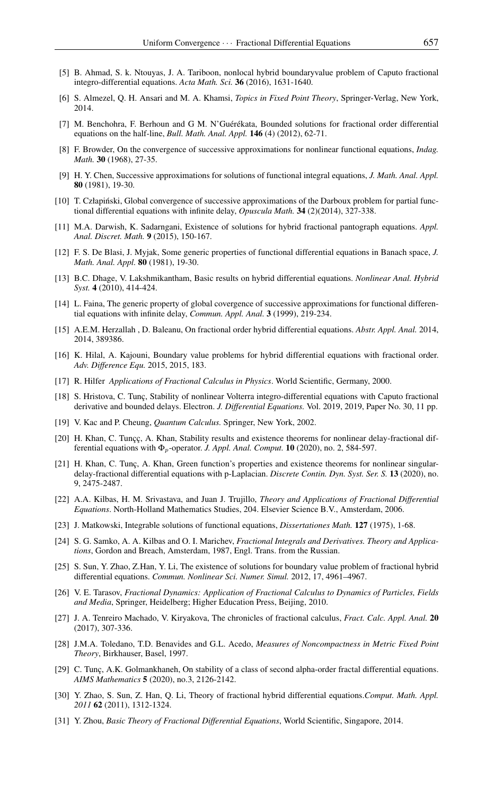- <span id="page-7-4"></span>[5] B. Ahmad, S. k. Ntouyas, J. A. Tariboon, nonlocal hybrid boundaryvalue problem of Caputo fractional integro-differential equations. *Acta Math. Sci.* 36 (2016), 1631-1640.
- [6] S. Almezel, Q. H. Ansari and M. A. Khamsi, *Topics in Fixed Point Theory*, Springer-Verlag, New York, 2014.
- [7] M. Benchohra, F. Berhoun and G M. N'Guérékata, Bounded solutions for fractional order differential equations on the half-line, *Bull. Math. Anal. Appl.* 146 (4) (2012), 62-71.
- [8] F. Browder, On the convergence of successive approximations for nonlinear functional equations, *Indag. Math.* 30 (1968), 27-35.
- [9] H. Y. Chen, Successive approximations for solutions of functional integral equations, *J. Math. Anal. Appl.* 80 (1981), 19-30.
- [10] T. Człapinski, Global convergence of successive approximations of the Darboux problem for partial func- ´ tional differential equations with infinite delay, *Opuscula Math.* 34 (2)(2014), 327-338.
- <span id="page-7-5"></span>[11] M.A. Darwish, K. Sadarngani, Existence of solutions for hybrid fractional pantograph equations. *Appl. Anal. Discret. Math.* 9 (2015), 150-167.
- [12] F. S. De Blasi, J. Myjak, Some generic properties of functional differential equations in Banach space, *J. Math. Anal. Appl.* 80 (1981), 19-30.
- [13] B.C. Dhage, V. Lakshmikantham, Basic results on hybrid differential equations. *Nonlinear Anal. Hybrid Syst.* 4 (2010), 414-424.
- [14] L. Faina, The generic property of global covergence of successive approximations for functional differential equations with infinite delay, *Commun. Appl. Anal.* 3 (1999), 219-234.
- [15] A.E.M. Herzallah , D. Baleanu, On fractional order hybrid differential equations. *Abstr. Appl. Anal.* 2014, 2014, 389386.
- <span id="page-7-6"></span>[16] K. Hilal, A. Kajouni, Boundary value problems for hybrid differential equations with fractional order. *Adv. Difference Equ.* 2015, 2015, 183.
- <span id="page-7-1"></span>[17] R. Hilfer *Applications of Fractional Calculus in Physics*. World Scientific, Germany, 2000.
- <span id="page-7-8"></span>[18] S. Hristova, C. Tunç, Stability of nonlinear Volterra integro-differential equations with Caputo fractional derivative and bounded delays. Electron. *J. Differential Equations.* Vol. 2019, 2019, Paper No. 30, 11 pp.
- [19] V. Kac and P. Cheung, *Quantum Calculus.* Springer, New York, 2002.
- <span id="page-7-9"></span>[20] H. Khan, C. Tunçç, A. Khan, Stability results and existence theorems for nonlinear delay-fractional differential equations with  $\Phi_p$ -operator. *J. Appl. Anal. Comput.* **10** (2020), no. 2, 584-597.
- <span id="page-7-10"></span>[21] H. Khan, C. Tunç, A. Khan, Green function's properties and existence theorems for nonlinear singulardelay-fractional differential equations with p-Laplacian. *Discrete Contin. Dyn. Syst. Ser. S.* 13 (2020), no. 9, 2475-2487.
- <span id="page-7-0"></span>[22] A.A. Kilbas, H. M. Srivastava, and Juan J. Trujillo, *Theory and Applications of Fractional Differential Equations*. North-Holland Mathematics Studies, 204. Elsevier Science B.V., Amsterdam, 2006.
- [23] J. Matkowski, Integrable solutions of functional equations, *Dissertationes Math.* 127 (1975), 1-68.
- <span id="page-7-2"></span>[24] S. G. Samko, A. A. Kilbas and O. I. Marichev, *Fractional Integrals and Derivatives. Theory and Applications*, Gordon and Breach, Amsterdam, 1987, Engl. Trans. from the Russian.
- <span id="page-7-7"></span>[25] S. Sun, Y. Zhao, Z.Han, Y. Li, The existence of solutions for boundary value problem of fractional hybrid differential equations. *Commun. Nonlinear Sci. Numer. Simul.* 2012, 17, 4961–4967.
- [26] V. E. Tarasov, *Fractional Dynamics: Application of Fractional Calculus to Dynamics of Particles, Fields and Media*, Springer, Heidelberg; Higher Education Press, Beijing, 2010.
- [27] J. A. Tenreiro Machado, V. Kiryakova, The chronicles of fractional calculus, *Fract. Calc. Appl. Anal.* 20 (2017), 307-336.
- [28] J.M.A. Toledano, T.D. Benavides and G.L. Acedo, *Measures of Noncompactness in Metric Fixed Point Theory*, Birkhauser, Basel, 1997.
- <span id="page-7-11"></span>[29] C. Tunç, A.K. Golmankhaneh, On stability of a class of second alpha-order fractal differential equations. *AIMS Mathematics* 5 (2020), no.3, 2126-2142.
- [30] Y. Zhao, S. Sun, Z. Han, Q. Li, Theory of fractional hybrid differential equations.*Comput. Math. Appl. 2011* 62 (2011), 1312-1324.
- <span id="page-7-3"></span>[31] Y. Zhou, *Basic Theory of Fractional Differential Equations*, World Scientific, Singapore, 2014.